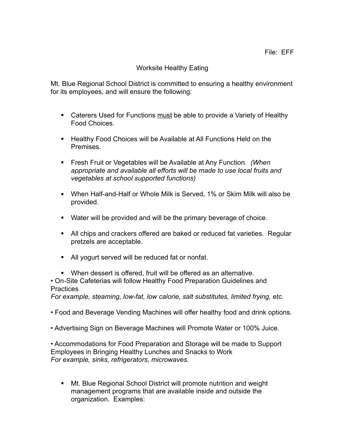## Worksite Healthy Eating

Mt. Blue Regional School District is committed to ensuring a healthy environment for its employees, and will ensure the following:

- **EXTER** Caterers Used for Functions must be able to provide a Variety of Healthy Food Choices.
- **Healthy Food Choices will be Available at All Functions Held on the Premises**
- Fresh Fruit or Vegetables will be Available at Any Function*. (When appropriate and available all efforts will be made to use local fruits and vegetables at school supported functions)*
- When Half-and-Half or Whole Milk is Served, 1% or Skim Milk will also be provided.
- Water will be provided and will be the primary beverage of choice.
- All chips and crackers offered are baked or reduced fat varieties. Regular pretzels are acceptable.
- All yogurt served will be reduced fat or nonfat.
- When dessert is offered, fruit will be offered as an alternative.

• On-Site Cafeterias will follow Healthy Food Preparation Guidelines and **Practices** 

*For example, steaming, low-fat, low calorie, salt substitutes, limited frying, etc.* 

• Food and Beverage Vending Machines will offer healthy food and drink options.

• Advertising Sign on Beverage Machines will Promote Water or 100% Juice.

• Accommodations for Food Preparation and Storage will be made to Support Employees in Bringing Healthy Lunches and Snacks to Work *For example, sinks, refrigerators, microwaves*.

 Mt. Blue Regional School District will promote nutrition and weight management programs that are available inside and outside the organization. Examples: